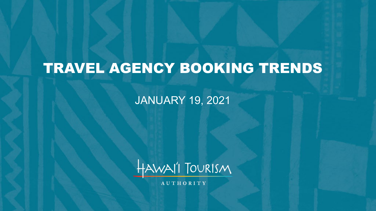# TRAVEL AGENCY BOOKING TRENDS

JANUARY 19, 2021



**AUTHORITY**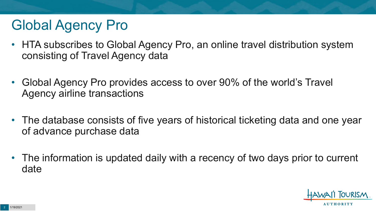# Global Agency Pro

- HTA subscribes to Global Agency Pro, an online travel distribution system consisting of Travel Agency data
- Global Agency Pro provides access to over 90% of the world's Travel Agency airline transactions
- The database consists of five years of historical ticketing data and one year of advance purchase data
- The information is updated daily with a recency of two days prior to current date

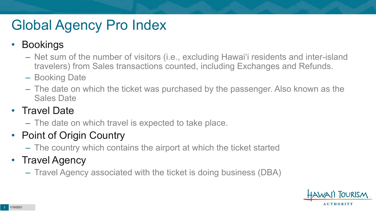# Global Agency Pro Index

### • Bookings

- Net sum of the number of visitors (i.e., excluding Hawai'i residents and inter-island travelers) from Sales transactions counted, including Exchanges and Refunds.
- Booking Date
- The date on which the ticket was purchased by the passenger. Also known as the Sales Date

### • Travel Date

– The date on which travel is expected to take place.

## • Point of Origin Country

– The country which contains the airport at which the ticket started

## • Travel Agency

– Travel Agency associated with the ticket is doing business (DBA)

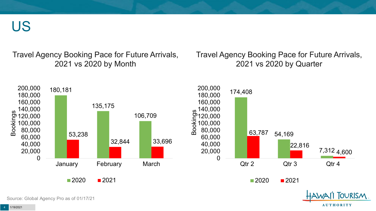US

Travel Agency Booking Pace for Future Arrivals, 2021 vs 2020 by Month

Travel Agency Booking Pace for Future Arrivals, 2021 vs 2020 by Quarter



Source: Global Agency Pro as of 01/17/21

**AUTHORITY**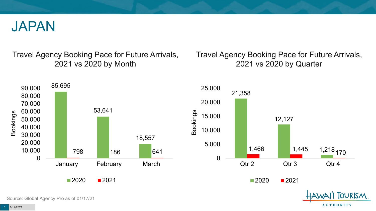

Travel Agency Booking Pace for Future Arrivals, 2021 vs 2020 by Month

Travel Agency Booking Pace for Future Arrivals, 2021 vs 2020 by Quarter

**AUTHORITY** 



Source: Global Agency Pro as of 01/17/21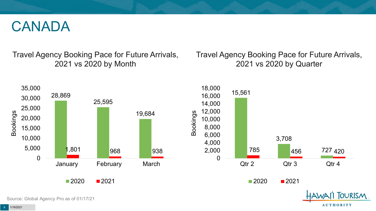## CANADA

Travel Agency Booking Pace for Future Arrivals, 2021 vs 2020 by Month

Travel Agency Booking Pace for Future Arrivals, 2021 vs 2020 by Quarter

**AUTHORITY** 

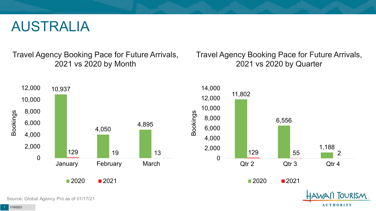## AUSTRALIA

Travel Agency Booking Pace for Future Arrivals, 2021 vs 2020 by Month

Travel Agency Booking Pace for Future Arrivals, 2021 vs 2020 by Quarter

**AUTHORITY** 



Source: Global Agency Pro as of 01/17/21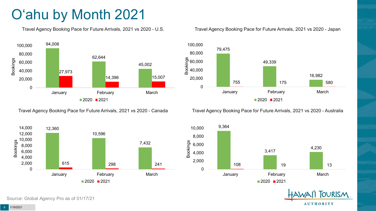# O'ahu by Month 2021

Travel Agency Booking Pace for Future Arrivals, 2021 vs 2020 - U.S.



Travel Agency Booking Pace for Future Arrivals, 2021 vs 2020 - Canada



Source: Global Agency Pro as of 01/17/21

Travel Agency Booking Pace for Future Arrivals, 2021 vs 2020 - Japan



Travel Agency Booking Pace for Future Arrivals, 2021 vs 2020 - Australia



**TOURISM AUTHORITY**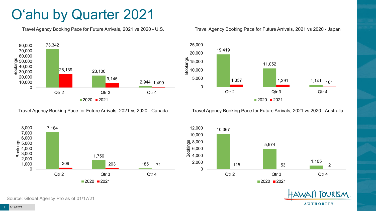# O'ahu by Quarter 2021

Travel Agency Booking Pace for Future Arrivals, 2021 vs 2020 - U.S.



Travel Agency Booking Pace for Future Arrivals, 2021 vs 2020 - Canada







Travel Agency Booking Pace for Future Arrivals, 2021 vs 2020 - Australia



**TOURISM AUTHORITY**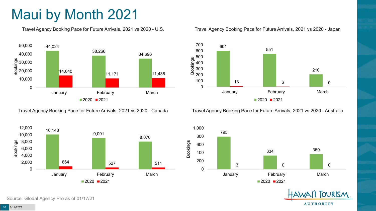# Maui by Month 2021

Travel Agency Booking Pace for Future Arrivals, 2021 vs 2020 - U.S.



Travel Agency Booking Pace for Future Arrivals, 2021 vs 2020 - Canada



Source: Global Agency Pro as of 01/17/21

#### Travel Agency Booking Pace for Future Arrivals, 2021 vs 2020 - Japan



Travel Agency Booking Pace for Future Arrivals, 2021 vs 2020 - Australia



**TOURISM AUTHORITY**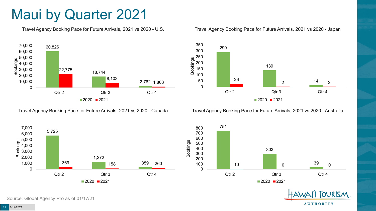## Maui by Quarter 2021

Travel Agency Booking Pace for Future Arrivals, 2021 vs 2020 - U.S.



Travel Agency Booking Pace for Future Arrivals, 2021 vs 2020 - Canada





Travel Agency Booking Pace for Future Arrivals, 2021 vs 2020 - Australia





**AUTHORITY** 

**OURISM** 

11 1/19/2021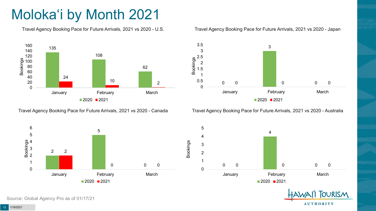# Moloka'i by Month 2021

Travel Agency Booking Pace for Future Arrivals, 2021 vs 2020 - U.S.



Travel Agency Booking Pace for Future Arrivals, 2021 vs 2020 - Canada





Travel Agency Booking Pace for Future Arrivals, 2021 vs 2020 - Australia



 $\Omega$  0 0 0 January **February** February March

2021



Source: Global Agency Pro as of 01/17/21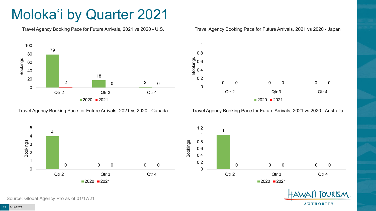# Moloka'i by Quarter 2021

Travel Agency Booking Pace for Future Arrivals, 2021 vs 2020 - U.S.



Travel Agency Booking Pace for Future Arrivals, 2021 vs 2020 - Canada





Travel Agency Booking Pace for Future Arrivals, 2021 vs 2020 - Australia

 $2020$  2021





Source: Global Agency Pro as of 01/17/21

1/19/2021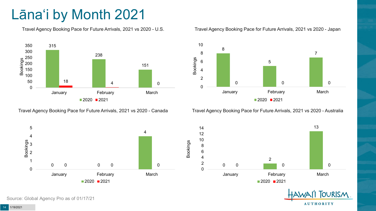# Lāna'i by Month 2021

Travel Agency Booking Pace for Future Arrivals, 2021 vs 2020 - U.S.



Travel Agency Booking Pace for Future Arrivals, 2021 vs 2020 - Canada



Travel Agency Booking Pace for Future Arrivals, 2021 vs 2020 - Japan



Travel Agency Booking Pace for Future Arrivals, 2021 vs 2020 - Australia



 



TOURISM. **AUTHORITY** 

Source: Global Agency Pro as of 01/17/21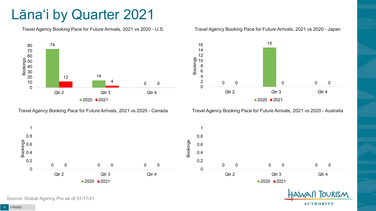# Lāna'i by Quarter 2021

Travel Agency Booking Pace for Future Arrivals, 2021 vs 2020 - U.S.



Travel Agency Booking Pace for Future Arrivals, 2021 vs 2020 - Canada





Travel Agency Booking Pace for Future Arrivals, 2021 vs 2020 - Australia



**TOURISM AUTHORITY** 

Source: Global Agency Pro as of 01/17/21

1/19/2021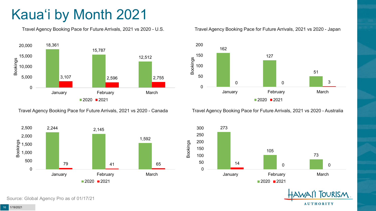# Kaua'i by Month 2021

Travel Agency Booking Pace for Future Arrivals, 2021 vs 2020 - U.S.



Travel Agency Booking Pace for Future Arrivals, 2021 vs 2020 - Canada



Source: Global Agency Pro as of 01/17/21

#### Travel Agency Booking Pace for Future Arrivals, 2021 vs 2020 - Japan



Travel Agency Booking Pace for Future Arrivals, 2021 vs 2020 - Australia



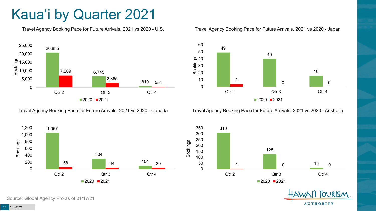# Kaua'i by Quarter 2021

Travel Agency Booking Pace for Future Arrivals, 2021 vs 2020 - U.S.



Travel Agency Booking Pace for Future Arrivals, 2021 vs 2020 - Canada





Travel Agency Booking Pace for Future Arrivals, 2021 vs 2020 - Australia





**TOURISM** 

**AUTHORITY** 

Source: Global Agency Pro as of 01/17/21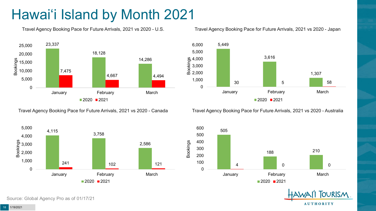# Hawai'i Island by Month 2021

Travel Agency Booking Pace for Future Arrivals, 2021 vs 2020 - U.S.



Travel Agency Booking Pace for Future Arrivals, 2021 vs 2020 - Canada



Source: Global Agency Pro as of 01/17/21

#### Travel Agency Booking Pace for Future Arrivals, 2021 vs 2020 - Japan



Travel Agency Booking Pace for Future Arrivals, 2021 vs 2020 - Australia



**TOURISM AUTHORITY** 

1/19/2021